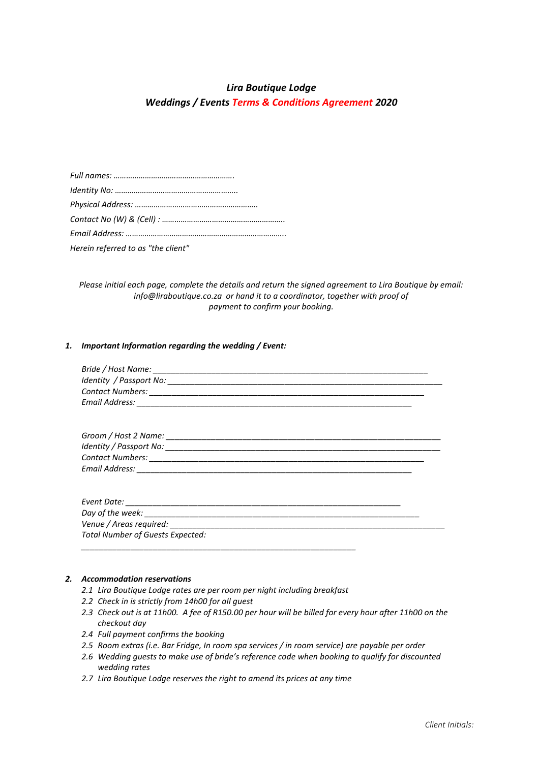# *Lira Boutique Lodge*

*Weddings / Events Terms & Conditions Agreement 2020*

| Herein referred to as "the client" |
|------------------------------------|

*Please initial each page, complete the details and return the signed agreement to Lira Boutique by email: info@liraboutique.co.za or hand it to a coordinator, together with proof of payment to confirm your booking.*

# *1. Important Information regarding the wedding / Event:*

| <b>Total Number of Guests Expected:</b> |  |
|-----------------------------------------|--|
|                                         |  |

# *2. Accommodation reservations*

- *2.1 Lira Boutique Lodge rates are per room per night including breakfast*
- *2.2 Check in is strictly from 14h00 for all guest*
- *2.3 Check out is at 11h00. A fee of R150.00 per hour will be billed for every hour after 11h00 on the checkout day*
- *2.4 Full payment confirms the booking*
- *2.5 Room extras (i.e. Bar Fridge, In room spa services / in room service) are payable per order*
- *2.6 Wedding guests to make use of bride's reference code when booking to qualify for discounted wedding rates*
- *2.7 Lira Boutique Lodge reserves the right to amend its prices at any time*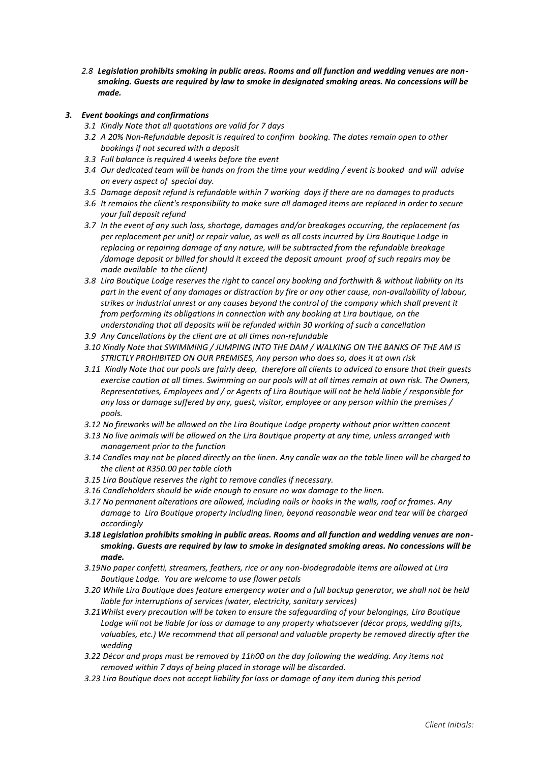*2.8 Legislation prohibits smoking in public areas. Rooms and all function and wedding venues are nonsmoking. Guests are required by law to smoke in designated smoking areas. No concessions will be made.*

# *3. Event bookings and confirmations*

- *3.1 Kindly Note that all quotations are valid for 7 days*
- *3.2 A 20% Non-Refundable deposit is required to confirm booking. The dates remain open to other bookings if not secured with a deposit*
- *3.3 Full balance is required 4 weeks before the event*
- *3.4 Our dedicated team will be hands on from the time your wedding / event is booked and will advise on every aspect of special day.*
- *3.5 Damage deposit refund is refundable within 7 working days if there are no damages to products*
- *3.6 It remains the client's responsibility to make sure all damaged items are replaced in order to secure your full deposit refund*
- *3.7 In the event of any such loss, shortage, damages and/or breakages occurring, the replacement (as per replacement per unit) or repair value, as well as all costs incurred by Lira Boutique Lodge in replacing or repairing damage of any nature, will be subtracted from the refundable breakage /damage deposit or billed for should it exceed the deposit amount proof of such repairs may be made available to the client)*
- *3.8 Lira Boutique Lodge reserves the right to cancel any booking and forthwith & without liability on its part in the event of any damages or distraction by fire or any other cause, non-availability of labour, strikes or industrial unrest or any causes beyond the control of the company which shall prevent it from performing its obligations in connection with any booking at Lira boutique, on the understanding that all deposits will be refunded within 30 working of such a cancellation*
- *3.9 Any Cancellations by the client are at all times non-refundable*
- *3.10 Kindly Note that SWIMMING / JUMPING INTO THE DAM / WALKING ON THE BANKS OF THE AM IS STRICTLY PROHIBITED ON OUR PREMISES, Any person who does so, does it at own risk*
- *3.11 Kindly Note that our pools are fairly deep, therefore all clients to adviced to ensure that their guests exercise caution at all times. Swimming on our pools will at all times remain at own risk. The Owners, Representatives, Employees and / or Agents of Lira Boutique will not be held liable / responsible for any loss or damage suffered by any, guest, visitor, employee or any person within the premises / pools.*
- *3.12 No fireworks will be allowed on the Lira Boutique Lodge property without prior written concent*
- *3.13 No live animals will be allowed on the Lira Boutique property at any time, unless arranged with management prior to the function*
- *3.14 Candles may not be placed directly on the linen. Any candle wax on the table linen will be charged to the client at R350.00 per table cloth*
- *3.15 Lira Boutique reserves the right to remove candles if necessary.*
- *3.16 Candleholders should be wide enough to ensure no wax damage to the linen.*
- *3.17 No permanent alterations are allowed, including nails or hooks in the walls, roof or frames. Any damage to Lira Boutique property including linen, beyond reasonable wear and tear will be charged accordingly*
- *3.18 Legislation prohibits smoking in public areas. Rooms and all function and wedding venues are nonsmoking. Guests are required by law to smoke in designated smoking areas. No concessions will be made.*
- *3.19No paper confetti, streamers, feathers, rice or any non-biodegradable items are allowed at Lira Boutique Lodge. You are welcome to use flower petals*
- *3.20 While Lira Boutique does feature emergency water and a full backup generator, we shall not be held liable for interruptions of services (water, electricity, sanitary services)*
- *3.21Whilst every precaution will be taken to ensure the safeguarding of your belongings, Lira Boutique Lodge will not be liable for loss or damage to any property whatsoever (décor props, wedding gifts, valuables, etc.) We recommend that all personal and valuable property be removed directly after the wedding*
- *3.22 Décor and props must be removed by 11h00 on the day following the wedding. Any items not removed within 7 days of being placed in storage will be discarded.*
- *3.23 Lira Boutique does not accept liability for loss or damage of any item during this period*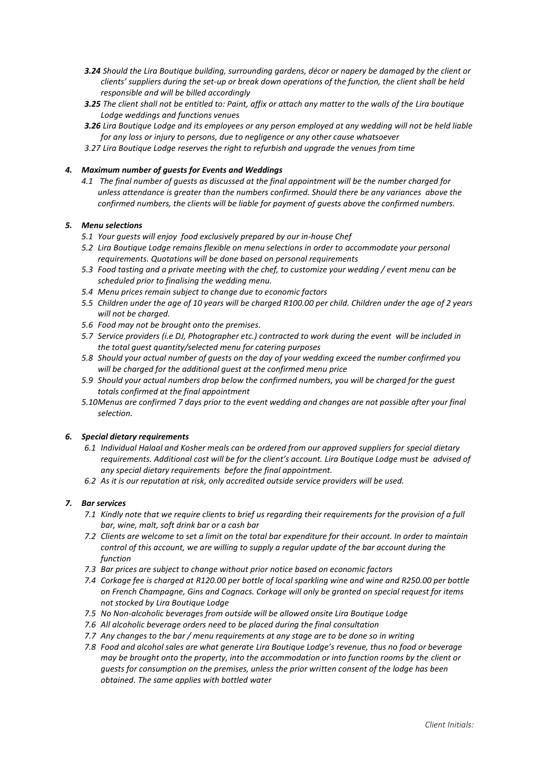- *3.24 Should the Lira Boutique building, surrounding gardens, décor or napery be damaged by the client or clients' suppliers during the set-up or break down operations of the function, the client shall be held responsible and will be billed accordingly*
- *3.25 The client shall not be entitled to: Paint, affix or attach any matter to the walls of the Lira boutique Lodge weddings and functions venues*
- *3.26 Lira Boutique Lodge and its employees or any person employed at any wedding will not be held liable for any loss or injury to persons, due to negligence or any other cause whatsoever*
- *3.27 Lira Boutique Lodge reserves the right to refurbish and upgrade the venues from time*

# *4. Maximum number of guests for Events and Weddings*

*4.1 The final number of guests as discussed at the final appointment will be the number charged for unless attendance is greater than the numbers confirmed. Should there be any variances above the confirmed numbers, the clients will be liable for payment of guests above the confirmed numbers.*

# *5. Menu selections*

- *5.1 Your guests will enjoy food exclusively prepared by our in-house Chef*
- *5.2 Lira Boutique Lodge remains flexible on menu selections in order to accommodate your personal requirements. Quotations will be done based on personal requirements*
- *5.3 Food tasting and a private meeting with the chef, to customize your wedding / event menu can be scheduled prior to finalising the wedding menu.*
- *5.4 Menu prices remain subject to change due to economic factors*
- *5.5 Children under the age of 10 years will be charged R100.00 per child. Children under the age of 2 years will not be charged.*
- *5.6 Food may not be brought onto the premises.*
- *5.7 Service providers (i.e DJ, Photographer etc.) contracted to work during the event will be included in the total guest quantity/selected menu for catering purposes*
- *5.8 Should your actual number of guests on the day of your wedding exceed the number confirmed you will be charged for the additional guest at the confirmed menu price*
- *5.9 Should your actual numbers drop below the confirmed numbers, you will be charged for the guest totals confirmed at the final appointment*
- *5.10Menus are confirmed 7 days prior to the event wedding and changes are not possible after your final selection.*

#### *6. Special dietary requirements*

- *6.1 Individual Halaal and Kosher meals can be ordered from our approved suppliers for special dietary requirements. Additional cost will be for the client's account. Lira Boutique Lodge must be advised of any special dietary requirements before the final appointment.*
- *6.2 As it is our reputation at risk, only accredited outside service providers will be used.*

#### *7. Bar services*

- *7.1 Kindly note that we require clients to brief us regarding their requirements for the provision of a full bar, wine, malt, soft drink bar or a cash bar*
- *7.2 Clients are welcome to set a limit on the total bar expenditure for their account. In order to maintain control of this account, we are willing to supply a regular update of the bar account during the function*
- *7.3 Bar prices are subject to change without prior notice based on economic factors*
- *7.4 Corkage fee is charged at R120.00 per bottle of local sparkling wine and wine and R250.00 per bottle on French Champagne, Gins and Cognacs. Corkage will only be granted on special request for items not stocked by Lira Boutique Lodge*
- *7.5 No Non-alcoholic beverages from outside will be allowed onsite Lira Boutique Lodge*
- *7.6 All alcoholic beverage orders need to be placed during the final consultation*
- *7.7 Any changes to the bar / menu requirements at any stage are to be done so in writing*
- *7.8 Food and alcohol sales are what generate Lira Boutique Lodge's revenue, thus no food or beverage may be brought onto the property, into the accommodation or into function rooms by the client or guests for consumption on the premises, unless the prior written consent of the lodge has been obtained. The same applies with bottled water*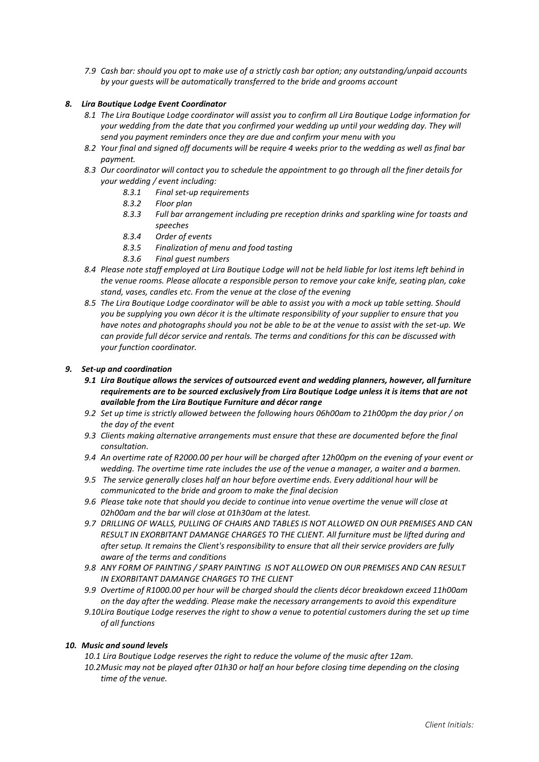*7.9 Cash bar: should you opt to make use of a strictly cash bar option; any outstanding/unpaid accounts by your guests will be automatically transferred to the bride and grooms account*

# *8. Lira Boutique Lodge Event Coordinator*

- *8.1 The Lira Boutique Lodge coordinator will assist you to confirm all Lira Boutique Lodge information for your wedding from the date that you confirmed your wedding up until your wedding day. They will send you payment reminders once they are due and confirm your menu with you*
- *8.2 Your final and signed off documents will be require 4 weeks prior to the wedding as well as final bar payment.*
- *8.3 Our coordinator will contact you to schedule the appointment to go through all the finer details for your wedding / event including:* 
	- *8.3.1 Final set-up requirements*
	- *8.3.2 Floor plan*
	- *8.3.3 Full bar arrangement including pre reception drinks and sparkling wine for toasts and speeches*
	- *8.3.4 Order of events*
	- *8.3.5 Finalization of menu and food tasting*
	- *8.3.6 Final guest numbers*
- *8.4 Please note staff employed at Lira Boutique Lodge will not be held liable for lost items left behind in the venue rooms. Please allocate a responsible person to remove your cake knife, seating plan, cake stand, vases, candles etc. From the venue at the close of the evening*
- *8.5 The Lira Boutique Lodge coordinator will be able to assist you with a mock up table setting. Should you be supplying you own décor it is the ultimate responsibility of your supplier to ensure that you have notes and photographs should you not be able to be at the venue to assist with the set-up. We can provide full décor service and rentals. The terms and conditions for this can be discussed with your function coordinator.*

# *9. Set-up and coordination*

- *9.1 Lira Boutique allows the services of outsourced event and wedding planners, however, all furniture requirements are to be sourced exclusively from Lira Boutique Lodge unless it is items that are not available from the Lira Boutique Furniture and décor range*
- *9.2 Set up time is strictly allowed between the following hours 06h00am to 21h00pm the day prior / on the day of the event*
- *9.3 Clients making alternative arrangements must ensure that these are documented before the final consultation.*
- *9.4 An overtime rate of R2000.00 per hour will be charged after 12h00pm on the evening of your event or wedding. The overtime time rate includes the use of the venue a manager, a waiter and a barmen.*
- *9.5 The service generally closes half an hour before overtime ends. Every additional hour will be communicated to the bride and groom to make the final decision*
- *9.6 Please take note that should you decide to continue into venue overtime the venue will close at 02h00am and the bar will close at 01h30am at the latest.*
- *9.7 DRILLING OF WALLS, PULLING OF CHAIRS AND TABLES IS NOT ALLOWED ON OUR PREMISES AND CAN RESULT IN EXORBITANT DAMANGE CHARGES TO THE CLIENT. All furniture must be lifted during and after setup. It remains the Client's responsibility to ensure that all their service providers are fully aware of the terms and conditions*
- *9.8 ANY FORM OF PAINTING / SPARY PAINTING IS NOT ALLOWED ON OUR PREMISES AND CAN RESULT IN EXORBITANT DAMANGE CHARGES TO THE CLIENT*
- *9.9 Overtime of R1000.00 per hour will be charged should the clients décor breakdown exceed 11h00am on the day after the wedding. Please make the necessary arrangements to avoid this expenditure*
- *9.10Lira Boutique Lodge reserves the right to show a venue to potential customers during the set up time of all functions*

# *10. Music and sound levels*

*10.1 Lira Boutique Lodge reserves the right to reduce the volume of the music after 12am.* 

*10.2Music may not be played after 01h30 or half an hour before closing time depending on the closing time of the venue.*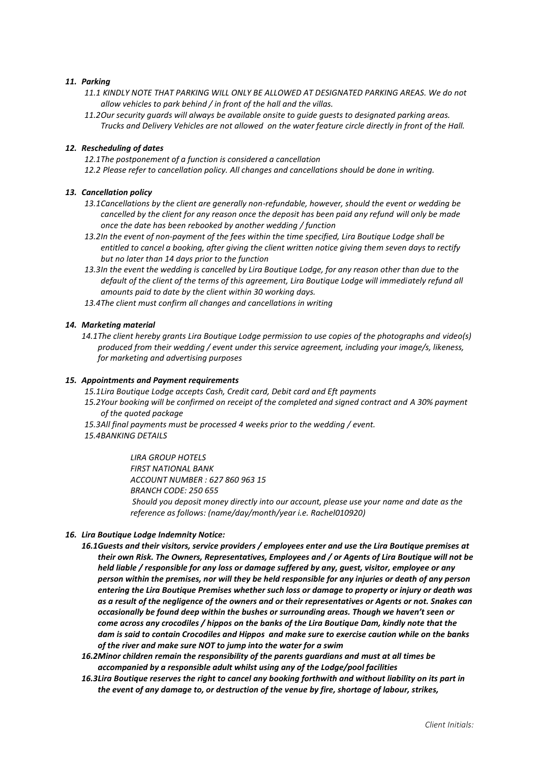#### *11. Parking*

- *11.1 KINDLY NOTE THAT PARKING WILL ONLY BE ALLOWED AT DESIGNATED PARKING AREAS. We do not allow vehicles to park behind / in front of the hall and the villas.*
- *11.2Our security guards will always be available onsite to guide guests to designated parking areas. Trucks and Delivery Vehicles are not allowed on the water feature circle directly in front of the Hall.*

#### *12. Rescheduling of dates*

- *12.1The postponement of a function is considered a cancellation*
- *12.2 Please refer to cancellation policy. All changes and cancellations should be done in writing.*

#### *13. Cancellation policy*

- *13.1Cancellations by the client are generally non-refundable, however, should the event or wedding be cancelled by the client for any reason once the deposit has been paid any refund will only be made once the date has been rebooked by another wedding / function*
- *13.2In the event of non-payment of the fees within the time specified, Lira Boutique Lodge shall be entitled to cancel a booking, after giving the client written notice giving them seven days to rectify but no later than 14 days prior to the function*
- *13.3In the event the wedding is cancelled by Lira Boutique Lodge, for any reason other than due to the default of the client of the terms of this agreement, Lira Boutique Lodge will immediately refund all amounts paid to date by the client within 30 working days.*
- *13.4The client must confirm all changes and cancellations in writing*

#### *14. Marketing material*

*14.1The client hereby grants Lira Boutique Lodge permission to use copies of the photographs and video(s) produced from their wedding / event under this service agreement, including your image/s, likeness, for marketing and advertising purposes*

#### *15. Appointments and Payment requirements*

- *15.1Lira Boutique Lodge accepts Cash, Credit card, Debit card and Eft payments*
- *15.2Your booking will be confirmed on receipt of the completed and signed contract and A 30% payment of the quoted package*
- *15.3All final payments must be processed 4 weeks prior to the wedding / event.*
- *15.4BANKING DETAILS*

*LIRA GROUP HOTELS FIRST NATIONAL BANK ACCOUNT NUMBER : 627 860 963 15 BRANCH CODE: 250 655 Should you deposit money directly into our account, please use your name and date as the reference as follows: (name/day/month/year i.e. Rachel010920)*

#### *16. Lira Boutique Lodge Indemnity Notice:*

*16.1Guests and their visitors, service providers / employees enter and use the Lira Boutique premises at their own Risk. The Owners, Representatives, Employees and / or Agents of Lira Boutique will not be held liable / responsible for any loss or damage suffered by any, guest, visitor, employee or any person within the premises, nor will they be held responsible for any injuries or death of any person entering the Lira Boutique Premises whether such loss or damage to property or injury or death was as a result of the negligence of the owners and or their representatives or Agents or not. Snakes can occasionally be found deep within the bushes or surrounding areas. Though we haven't seen or come across any crocodiles / hippos on the banks of the Lira Boutique Dam, kindly note that the dam is said to contain Crocodiles and Hippos and make sure to exercise caution while on the banks of the river and make sure NOT to jump into the water for a swim*

*16.2Minor children remain the responsibility of the parents guardians and must at all times be accompanied by a responsible adult whilst using any of the Lodge/pool facilities*

*16.3Lira Boutique reserves the right to cancel any booking forthwith and without liability on its part in the event of any damage to, or destruction of the venue by fire, shortage of labour, strikes,*